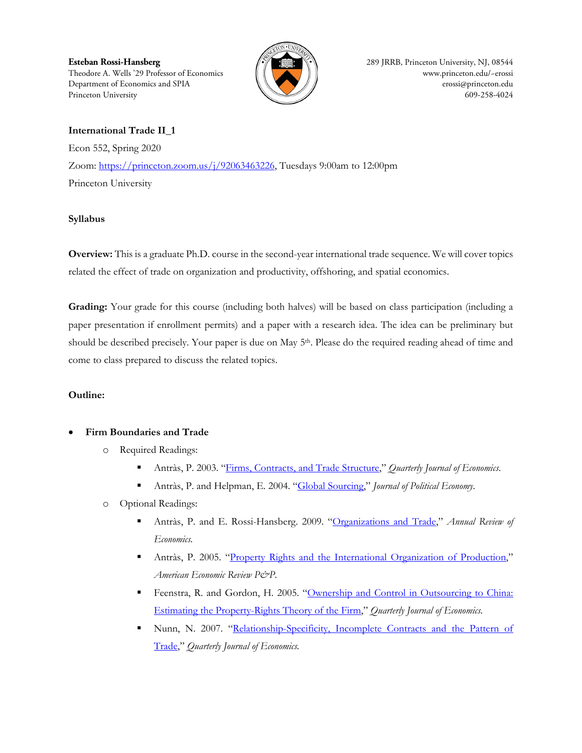**Esteban Rossi-Hansberg 289 JRRB, Princeton University, NJ, 08544** Theodore A. Wells '29 Professor of Economics  $\|\|\$ Department of Economics and SPIA  $\bigcup_{n=1}^{\infty}$  [erossi@princeton.edu](mailto:erossi@princeton.edu) Princeton University 609-258-4024



# **International Trade II\_1**

Econ 552, Spring 2020 Zoom: [https://princeton.zoom.us/j/92063463226,](https://princeton.zoom.us/j/92063463226) Tuesdays 9:00am to 12:00pm Princeton University

## **Syllabus**

**Overview:** This is a graduate Ph.D. course in the second-year international trade sequence. We will cover topics related the effect of trade on organization and productivity, offshoring, and spatial economics.

**Grading:** Your grade for this course (including both halves) will be based on class participation (including a paper presentation if enrollment permits) and a paper with a research idea. The idea can be preliminary but should be described precisely. Your paper is due on May 5<sup>th</sup>. Please do the required reading ahead of time and come to class prepared to discuss the related topics.

## **Outline:**

## • **Firm Boundaries and Trade**

- o Required Readings:
	- Antràs, P. 2003. ["Firms, Contracts, and Trade Structure,](http://dash.harvard.edu/bitstream/handle/1/3196328/antras_firmscontracts.pdf)" *Quarterly Journal of Economics*.
	- Antràs, P. and Helpman, E. 2004. ["Global Sourcing,](http://dash.harvard.edu/bitstream/handle/1/3196327/antras_globalsourcing.pdf)" *Journal of Political Economy*.
- o Optional Readings:
	- Antràs, P. and E. Rossi-Hansberg. 2009. ["Organizations and Trade,](http://www.princeton.edu/%7Eerossi/TO.pdf)" *Annual Review of Economics.*
	- Antràs, P. 2005. ["Property Rights and the International Organization of Production,](http://dash.harvard.edu/bitstream/handle/1/3196326/antras_propertyrights.pdf)" *American Economic Review P&P*.
	- Feenstra, R. and Gordon, H. 2005. ["Ownership and Control in Outsourcing to China:](http://www.mitpressjournals.org/doi/pdf/10.1162/0033553053970188)  [Estimating the Property-Rights Theory of the Firm,](http://www.mitpressjournals.org/doi/pdf/10.1162/0033553053970188)" *Quarterly Journal of Economics.*
	- Nunn, N. 2007. "Relationship-Specificity, Incomplete Contracts and the Pattern of [Trade,](http://qje.oxfordjournals.org/content/122/2/569.abstract)" *Quarterly Journal of Economics.*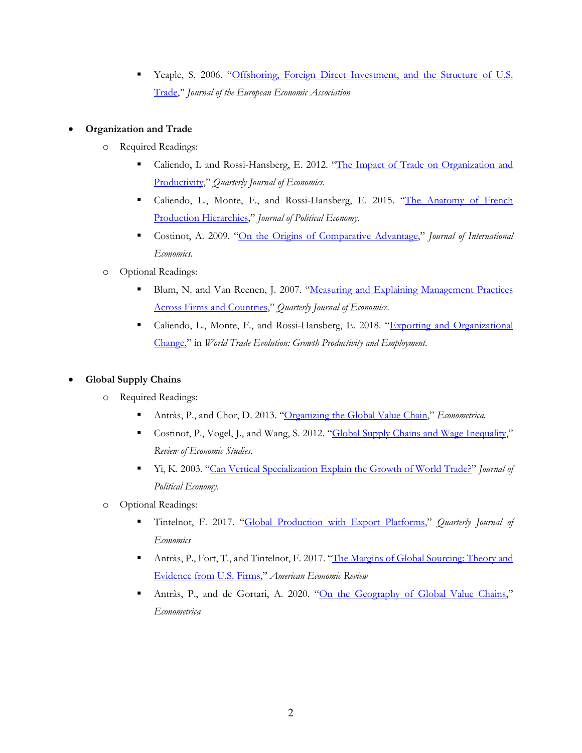Yeaple, S. 2006. ["Offshoring, Foreign Direct Investment, and the Structure of U.S.](http://grizzly.la.psu.edu/%7Esry3/jeea2006.pdf)  [Trade,](http://grizzly.la.psu.edu/%7Esry3/jeea2006.pdf)'' *Journal of the European Economic Association*

## • **Organization and Trade**

- o Required Readings:
	- Caliendo, L and Rossi-Hansberg, E. 2012. ["The Impact of Trade on Organization and](http://www.princeton.edu/%7Eerossi/ITOP.pdf)  [Productivity,](http://www.princeton.edu/%7Eerossi/ITOP.pdf)" *Quarterly Journal of Economics.*
	- Caliendo, L., Monte, F., and Rossi-Hansberg, E. 2015. "The Anatomy of French [Production Hierarchies,](http://www.princeton.edu/%7Eerossi/AFPH.pdf)" *Journal of Political Economy*.
	- Costinot, A. 2009. ["On the Origins of Comparative Advantage,](http://econ-www.mit.edu/files/3925)" *Journal of International Economics*.
- o Optional Readings:
	- Blum, N. and Van Reenen, J. 2007. ["Measuring and Explaining Management Practices](http://www.stanford.edu/%7Enbloom/MeasuringManagement.pdf)  [Across Firms and Countries,](http://www.stanford.edu/%7Enbloom/MeasuringManagement.pdf)" *Quarterly Journal of Economics*.
	- Caliendo, L., Monte, F., and Rossi-Hansberg, E. 2018. "Exporting [and Organizational](http://www.princeton.edu/%7Eerossi/EOC.pdf)  [Change,](http://www.princeton.edu/%7Eerossi/EOC.pdf)" in *World Trade Evolution: Growth Productivity and Employment*.

## • **Global Supply Chains**

- o Required Readings:
	- Antràs, P., and Chor, D. 2013. ["Organizing the Global Value Chain,](http://scholar.harvard.edu/files/antras/files/antraschorecma.pdf)" *Econometrica*.
	- Costinot, P., Vogel, J., and Wang, S. 2012. ["Global Supply Chains and Wage](http://economics.mit.edu/files/7461) Inequality," *Review of Economic Studies*.
	- Yi, K. 2003. ["Can Vertical Specialization Explain the Growth of World Trade?"](http://www.journals.uchicago.edu/doi/pdf/10.1086/344805) *Journal of Political Economy*.
- o Optional Readings:
	- Tintelnot, F. 2017. ["Global Production with Export Platforms,"](https://academic.oup.com/qje/article/132/1/157/2724546) *Quarterly Journal of Economics*
	- Antràs, P., Fort, T., and Tintelnot, F. 2017. ["The Margins of Global Sourcing: Theory and](https://pubs.aeaweb.org/doi/pdfplus/10.1257/aer.20141685)  [Evidence from U.S. Firms,](https://pubs.aeaweb.org/doi/pdfplus/10.1257/aer.20141685)" *American Economic Review*
	- Antràs, P., and de Gortari, A. 2020. ["On the Geography of Global Value Chains,](https://onlinelibrary.wiley.com/doi/full/10.3982/ECTA15362)" *Econometrica*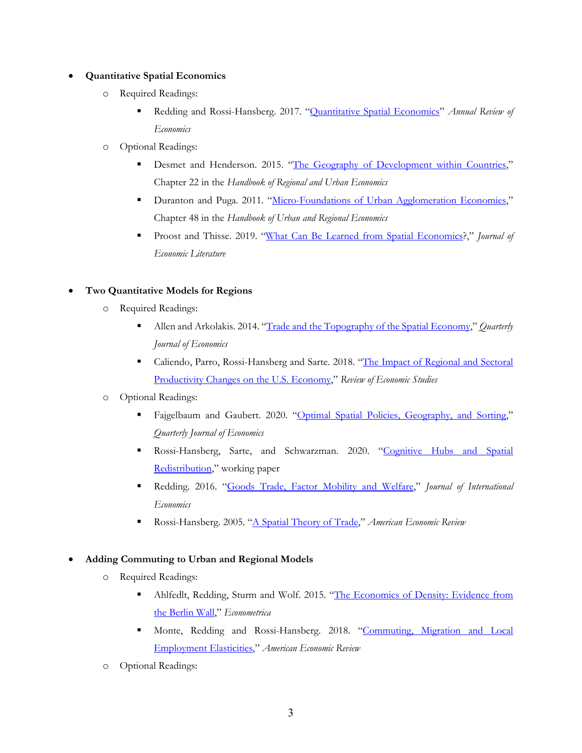#### • **Quantitative Spatial Economics**

- o Required Readings:
	- Redding and Rossi-Hansberg. 2017. ["Quantitative Spatial Economics"](http://www.princeton.edu/%7Eerossi/QSE.pdf) *Annual Review of Economics*
- o Optional Readings:
	- Desmet and Henderson. 2015. ["The Geography of Development within Countries,](http://www.eco.uc3m.es/%7Edesmet/papers/HandbookDH.pdf)" Chapter 22 in the *Handbook of Regional and Urban Economics*
	- Duranton and Puga. 2011. ["Micro-Foundations of Urban Agglomeration Economies,](http://www.sciencedirect.com/science/article/pii/S1574008004800051)" Chapter 48 in the *Handbook of Urban and Regional Economics*
	- Proost and Thisse. 2019. ["What Can Be Learned from Spatial Economics?](https://pubs.aeaweb.org/doi/pdfplus/10.1257/jel.20181414)," *Journal of Economic Literature*

#### • **Two Quantitative Models for Regions**

- o Required Readings:
	- Allen and Arkolakis. 2014. ["Trade and the Topography of the Spatial Economy,](http://qje.oxfordjournals.org/content/129/3/1085.full.pdf+html)" *Quarterly Journal of Economics*
	- Caliendo, Parro, Rossi-Hansberg and Sarte. 2018. "The Impact of Regional and Sectoral [Productivity Changes on the U.S. Economy,"](http://www.princeton.edu/%7Eerossi/RSSUS.pdf) *Review of Economic Studies*
- o Optional Readings:
	- Fajgelbaum and Gaubert. 2020. ["Optimal Spatial Policies, Geography, and Sorting,](https://academic.oup.com/qje/article-abstract/135/2/959/5697213?redirectedFrom=fulltext)" *Quarterly Journal of Economics*
	- Rossi-Hansberg, Sarte, and Schwarzman. 2020. ["Cognitive Hubs and Spatial](http://www.princeton.edu/%7Eerossi/CHSR.pdf)  [Redistribution,](http://www.princeton.edu/%7Eerossi/CHSR.pdf)" working paper
	- Redding. 2016. ["Goods Trade, Factor Mobility and Welfare,"](http://www.princeton.edu/%7Ereddings/papers/quantspatial_4May2016.pdf) *Journal of International Economics*
	- Rossi-Hansberg. 2005. ["A Spatial Theory of Trade,](http://www.princeton.edu/%7Eerossi/SToTAER.pdf)" *American Economic Review*

#### • **Adding Commuting to Urban and Regional Models**

- o Required Readings:
	- Ahlfedlt, Redding, Sturm and Wolf. 2015. "The Economics of Density: Evidence from [the Berlin Wall,](http://www.princeton.edu/%7Ereddings/pubpapers/Berlin-Ecta-10876.pdf)" *Econometrica*
	- Monte, Redding and Rossi-Hansberg. 2018. ["Commuting, Migration and Local](http://www.princeton.edu/%7Eerossi/CMLEE.pdf)  [Employment Elasticities,](http://www.princeton.edu/%7Eerossi/CMLEE.pdf)" *American Economic Review*
- o Optional Readings: